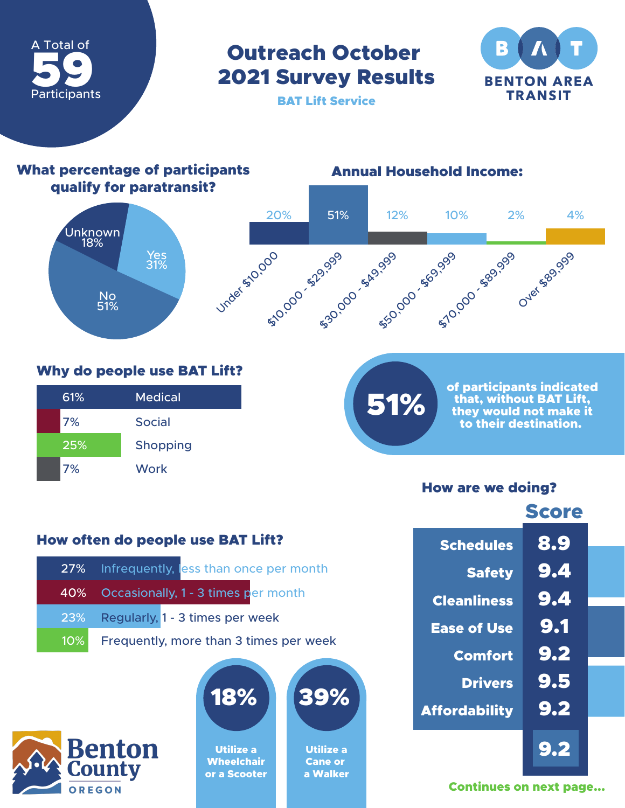

## Outreach October 2021 Survey Results



BAT Lift Service

#### What percentage of participants qualify for paratransit? No 51% Yes 31% Unknown 18% Annual Household Income: Under 510,000 **\$20,000 - \$20,000 - \$20,000 - \$99,999** Over \$89,999 20% 51% 12% 10% 2% 4%

### Why do people use BAT Lift?

| 61% | Medical         |
|-----|-----------------|
| 7%  | <b>Social</b>   |
| 25% | <b>Shopping</b> |
| 7%  | <b>Work</b>     |

# 51%

of participants indicated that, without BAT Lift, they would not make it to their destination.

### How are we doing?

|                      | <b>Score</b> |
|----------------------|--------------|
| <b>Schedules</b>     | 8.9          |
| <b>Safety</b>        | 9.4          |
| <b>Cleanliness</b>   | 9.4          |
| <b>Ease of Use</b>   | 9.1          |
| <b>Comfort</b>       | 9.2          |
| <b>Drivers</b>       | 9.5          |
| <b>Affordability</b> | 9.2          |
|                      | 9.2          |

## Continues on next page...

### How often do people use BAT Lift?

|        | 27% Infrequently, less than once per month |
|--------|--------------------------------------------|
|        | 40% Occasionally, 1 - 3 times per month    |
|        | 23% Regularly, 1 - 3 times per week        |
| $10\%$ | Frequently, more than 3 times per week     |





Utilize a **Wheelchair** or a Scooter

| 39% |
|-----|
|     |

Utilize a Cane or a Walker